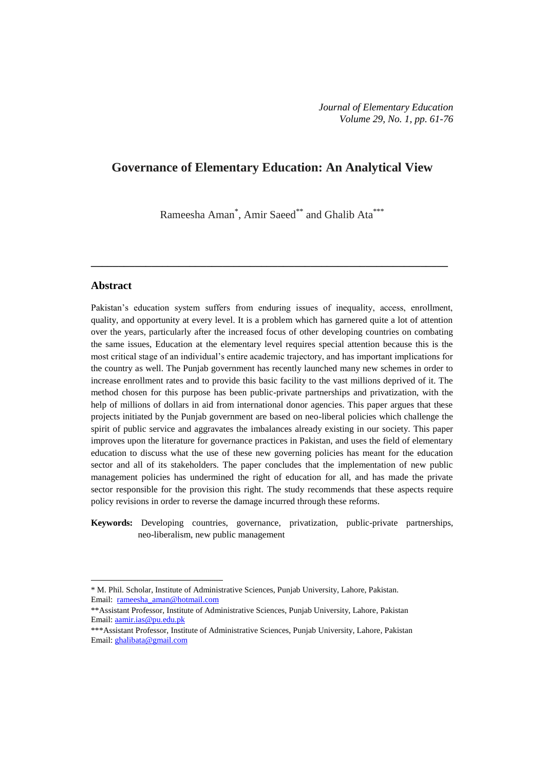# **Governance of Elementary Education: An Analytical View**

Rameesha Aman<sup>\*</sup>, Amir Saeed<sup>\*\*</sup> and Ghalib Ata<sup>\*\*\*</sup>

**\_\_\_\_\_\_\_\_\_\_\_\_\_\_\_\_\_\_\_\_\_\_\_\_\_\_\_\_\_\_\_\_\_\_\_\_\_\_\_\_\_\_\_\_\_\_\_\_\_\_\_\_\_\_\_\_\_\_\_\_\_\_\_\_\_**

# **Abstract**

1

Pakistan's education system suffers from enduring issues of inequality, access, enrollment, quality, and opportunity at every level. It is a problem which has garnered quite a lot of attention over the years, particularly after the increased focus of other developing countries on combating the same issues, Education at the elementary level requires special attention because this is the most critical stage of an individual"s entire academic trajectory, and has important implications for the country as well. The Punjab government has recently launched many new schemes in order to increase enrollment rates and to provide this basic facility to the vast millions deprived of it. The method chosen for this purpose has been public-private partnerships and privatization, with the help of millions of dollars in aid from international donor agencies. This paper argues that these projects initiated by the Punjab government are based on neo-liberal policies which challenge the spirit of public service and aggravates the imbalances already existing in our society. This paper improves upon the literature for governance practices in Pakistan, and uses the field of elementary education to discuss what the use of these new governing policies has meant for the education sector and all of its stakeholders. The paper concludes that the implementation of new public management policies has undermined the right of education for all, and has made the private sector responsible for the provision this right. The study recommends that these aspects require policy revisions in order to reverse the damage incurred through these reforms.

**Keywords:** Developing countries, governance, privatization, public-private partnerships, neo-liberalism, new public management

<sup>\*</sup> M. Phil. Scholar, Institute of Administrative Sciences, Punjab University, Lahore, Pakistan. Email: rameesha\_aman@hotmail.com

<sup>\*\*</sup>Assistant Professor, Institute of Administrative Sciences, Punjab University, Lahore, Pakistan Email: [aamir.ias@pu.edu.pk](mailto:aamir.ias@pu.edu.pk)

<sup>\*\*\*</sup>Assistant Professor, Institute of Administrative Sciences, Punjab University, Lahore, Pakistan Email[: ghalibata@gmail.com](mailto:ghalibata@gmail.com)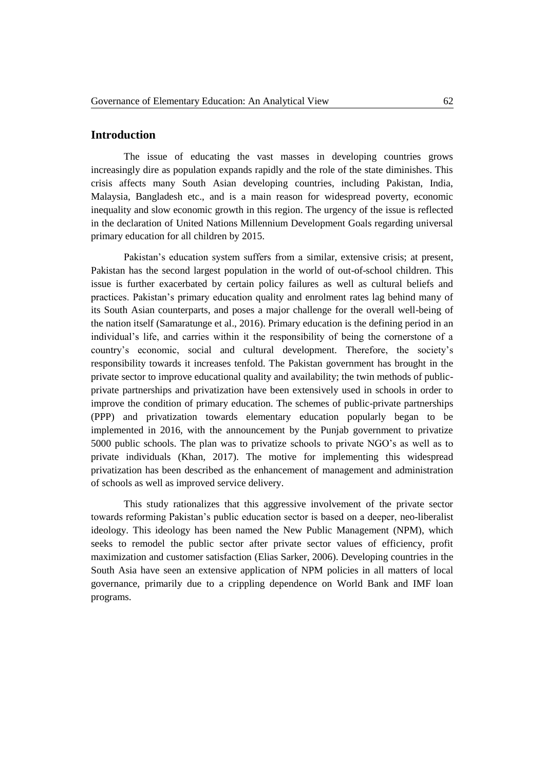# **Introduction**

The issue of educating the vast masses in developing countries grows increasingly dire as population expands rapidly and the role of the state diminishes. This crisis affects many South Asian developing countries, including Pakistan, India, Malaysia, Bangladesh etc., and is a main reason for widespread poverty, economic inequality and slow economic growth in this region. The urgency of the issue is reflected in the declaration of United Nations Millennium Development Goals regarding universal primary education for all children by 2015.

Pakistan's education system suffers from a similar, extensive crisis; at present, Pakistan has the second largest population in the world of out-of-school children. This issue is further exacerbated by certain policy failures as well as cultural beliefs and practices. Pakistan"s primary education quality and enrolment rates lag behind many of its South Asian counterparts, and poses a major challenge for the overall well-being of the nation itself [\(Samaratunge et al., 2016\)](#page-15-0). Primary education is the defining period in an individual"s life, and carries within it the responsibility of being the cornerstone of a country"s economic, social and cultural development. Therefore, the society"s responsibility towards it increases tenfold. The Pakistan government has brought in the private sector to improve educational quality and availability; the twin methods of publicprivate partnerships and privatization have been extensively used in schools in order to improve the condition of primary education. The schemes of public-private partnerships (PPP) and privatization towards elementary education popularly began to be implemented in 2016, with the announcement by the Punjab government to privatize 5000 public schools. The plan was to privatize schools to private NGO"s as well as to private individuals [\(Khan, 2017\)](#page-15-1). The motive for implementing this widespread privatization has been described as the enhancement of management and administration of schools as well as improved service delivery.

This study rationalizes that this aggressive involvement of the private sector towards reforming Pakistan"s public education sector is based on a deeper, neo-liberalist ideology. This ideology has been named the New Public Management (NPM), which seeks to remodel the public sector after private sector values of efficiency, profit maximization and customer satisfaction [\(Elias Sarker, 2006\)](#page-14-0). Developing countries in the South Asia have seen an extensive application of NPM policies in all matters of local governance, primarily due to a crippling dependence on World Bank and IMF loan programs.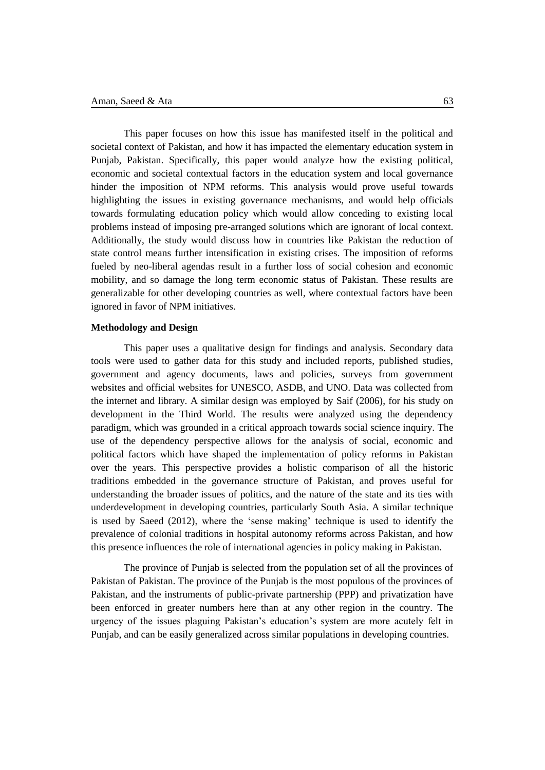This paper focuses on how this issue has manifested itself in the political and societal context of Pakistan, and how it has impacted the elementary education system in Punjab, Pakistan. Specifically, this paper would analyze how the existing political, economic and societal contextual factors in the education system and local governance hinder the imposition of NPM reforms. This analysis would prove useful towards highlighting the issues in existing governance mechanisms, and would help officials towards formulating education policy which would allow conceding to existing local problems instead of imposing pre-arranged solutions which are ignorant of local context. Additionally, the study would discuss how in countries like Pakistan the reduction of state control means further intensification in existing crises. The imposition of reforms fueled by neo-liberal agendas result in a further loss of social cohesion and economic mobility, and so damage the long term economic status of Pakistan. These results are generalizable for other developing countries as well, where contextual factors have been ignored in favor of NPM initiatives.

#### **Methodology and Design**

This paper uses a qualitative design for findings and analysis. Secondary data tools were used to gather data for this study and included reports, published studies, government and agency documents, laws and policies, surveys from government websites and official websites for UNESCO, ASDB, and UNO. Data was collected from the internet and library. A similar design was employed by [Saif \(2006\),](#page-15-2) for his study on development in the Third World. The results were analyzed using the dependency paradigm, which was grounded in a critical approach towards social science inquiry. The use of the dependency perspective allows for the analysis of social, economic and political factors which have shaped the implementation of policy reforms in Pakistan over the years. This perspective provides a holistic comparison of all the historic traditions embedded in the governance structure of Pakistan, and proves useful for understanding the broader issues of politics, and the nature of the state and its ties with underdevelopment in developing countries, particularly South Asia. A similar technique is used by [Saeed \(2012\),](#page-15-3) where the "sense making" technique is used to identify the prevalence of colonial traditions in hospital autonomy reforms across Pakistan, and how this presence influences the role of international agencies in policy making in Pakistan.

The province of Punjab is selected from the population set of all the provinces of Pakistan of Pakistan. The province of the Punjab is the most populous of the provinces of Pakistan, and the instruments of public-private partnership (PPP) and privatization have been enforced in greater numbers here than at any other region in the country. The urgency of the issues plaguing Pakistan"s education"s system are more acutely felt in Punjab, and can be easily generalized across similar populations in developing countries.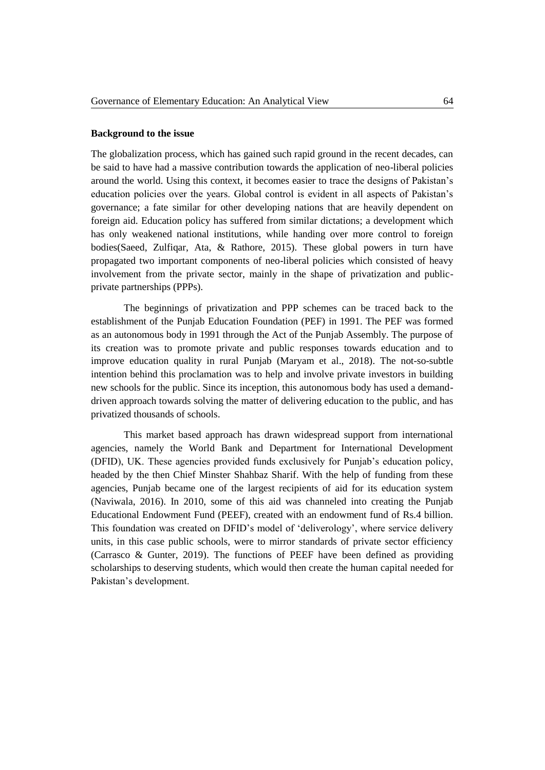#### **Background to the issue**

The globalization process, which has gained such rapid ground in the recent decades, can be said to have had a massive contribution towards the application of neo-liberal policies around the world. Using this context, it becomes easier to trace the designs of Pakistan"s education policies over the years. Global control is evident in all aspects of Pakistan"s governance; a fate similar for other developing nations that are heavily dependent on foreign aid. Education policy has suffered from similar dictations; a development which has only weakened national institutions, while handing over more control to foreign bodies[\(Saeed, Zulfiqar, Ata, & Rathore, 2015\)](#page-15-4). These global powers in turn have propagated two important components of neo-liberal policies which consisted of heavy involvement from the private sector, mainly in the shape of privatization and publicprivate partnerships (PPPs).

The beginnings of privatization and PPP schemes can be traced back to the establishment of the Punjab Education Foundation (PEF) in 1991. The PEF was formed as an autonomous body in 1991 through the Act of the Punjab Assembly. The purpose of its creation was to promote private and public responses towards education and to improve education quality in rural Punjab [\(Maryam et al., 2018\)](#page-15-5). The not-so-subtle intention behind this proclamation was to help and involve private investors in building new schools for the public. Since its inception, this autonomous body has used a demanddriven approach towards solving the matter of delivering education to the public, and has privatized thousands of schools.

This market based approach has drawn widespread support from international agencies, namely the World Bank and Department for International Development (DFID), UK. These agencies provided funds exclusively for Punjab"s education policy, headed by the then Chief Minster Shahbaz Sharif. With the help of funding from these agencies, Punjab became one of the largest recipients of aid for its education system [\(Naviwala, 2016\)](#page-15-0). In 2010, some of this aid was channeled into creating the Punjab Educational Endowment Fund (PEEF), created with an endowment fund of Rs.4 billion. This foundation was created on DFID"s model of "deliverology", where service delivery units, in this case public schools, were to mirror standards of private sector efficiency [\(Carrasco & Gunter, 2019\)](#page-14-1). The functions of PEEF have been defined as providing scholarships to deserving students, which would then create the human capital needed for Pakistan"s development.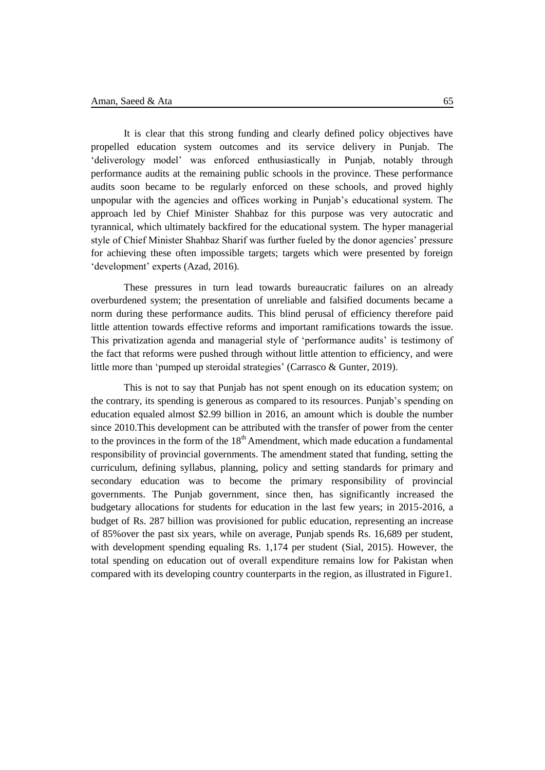It is clear that this strong funding and clearly defined policy objectives have propelled education system outcomes and its service delivery in Punjab. The "deliverology model" was enforced enthusiastically in Punjab, notably through performance audits at the remaining public schools in the province. These performance audits soon became to be regularly enforced on these schools, and proved highly unpopular with the agencies and offices working in Punjab"s educational system. The approach led by Chief Minister Shahbaz for this purpose was very autocratic and tyrannical, which ultimately backfired for the educational system. The hyper managerial style of Chief Minister Shahbaz Sharif was further fueled by the donor agencies" pressure for achieving these often impossible targets; targets which were presented by foreign 'development' experts [\(Azad, 2016\)](#page-14-2).

These pressures in turn lead towards bureaucratic failures on an already overburdened system; the presentation of unreliable and falsified documents became a norm during these performance audits. This blind perusal of efficiency therefore paid little attention towards effective reforms and important ramifications towards the issue. This privatization agenda and managerial style of "performance audits" is testimony of the fact that reforms were pushed through without little attention to efficiency, and were little more than 'pumped up steroidal strategies' [\(Carrasco & Gunter, 2019\)](#page-14-1).

This is not to say that Punjab has not spent enough on its education system; on the contrary, its spending is generous as compared to its resources. Punjab"s spending on education equaled almost \$2.99 billion in 2016, an amount which is double the number since 2010.This development can be attributed with the transfer of power from the center to the provinces in the form of the  $18<sup>th</sup>$  Amendment, which made education a fundamental responsibility of provincial governments. The amendment stated that funding, setting the curriculum, defining syllabus, planning, policy and setting standards for primary and secondary education was to become the primary responsibility of provincial governments. The Punjab government, since then, has significantly increased the budgetary allocations for students for education in the last few years; in 2015-2016, a budget of Rs. 287 billion was provisioned for public education, representing an increase of 85%over the past six years, while on average, Punjab spends Rs. 16,689 per student, with development spending equaling Rs. 1,174 per student [\(Sial, 2015\)](#page-15-6). However, the total spending on education out of overall expenditure remains low for Pakistan when compared with its developing country counterparts in the region, as illustrated in Figure1.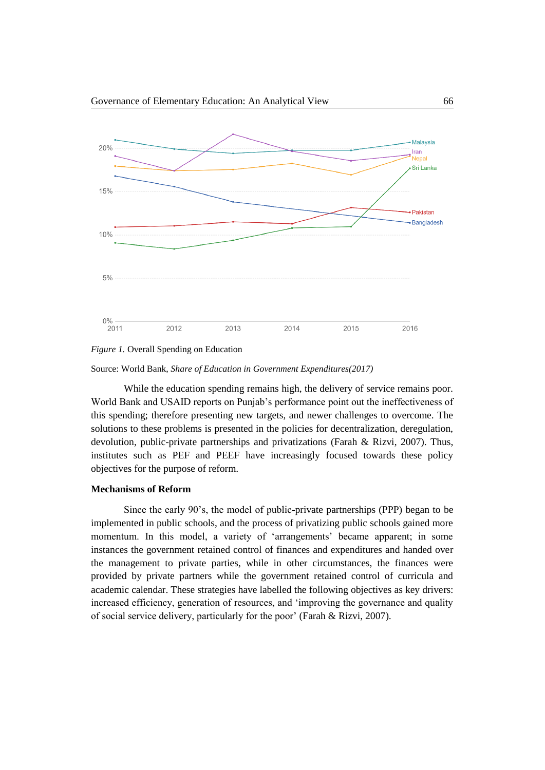

*Figure 1.* Overall Spending on Education

Source: World Bank, *Share of Education in Government Expenditures(2017)*

While the education spending remains high, the delivery of service remains poor. World Bank and USAID reports on Punjab"s performance point out the ineffectiveness of this spending; therefore presenting new targets, and newer challenges to overcome. The solutions to these problems is presented in the policies for decentralization, deregulation, devolution, public-private partnerships and privatizations [\(Farah & Rizvi, 2007\)](#page-14-3). Thus, institutes such as PEF and PEEF have increasingly focused towards these policy objectives for the purpose of reform.

### **Mechanisms of Reform**

Since the early 90"s, the model of public-private partnerships (PPP) began to be implemented in public schools, and the process of privatizing public schools gained more momentum. In this model, a variety of 'arrangements' became apparent; in some instances the government retained control of finances and expenditures and handed over the management to private parties, while in other circumstances, the finances were provided by private partners while the government retained control of curricula and academic calendar. These strategies have labelled the following objectives as key drivers: increased efficiency, generation of resources, and "improving the governance and quality of social service delivery, particularly for the poor" [\(Farah & Rizvi, 2007\)](#page-14-3).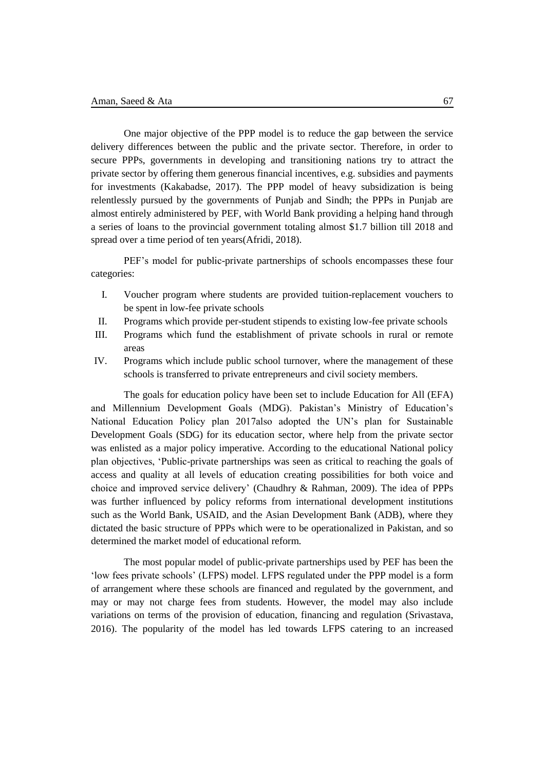One major objective of the PPP model is to reduce the gap between the service delivery differences between the public and the private sector. Therefore, in order to secure PPPs, governments in developing and transitioning nations try to attract the private sector by offering them generous financial incentives, e.g. subsidies and payments for investments [\(Kakabadse, 2017\)](#page-15-7). The PPP model of heavy subsidization is being relentlessly pursued by the governments of Punjab and Sindh; the PPPs in Punjab are almost entirely administered by PEF, with World Bank providing a helping hand through a series of loans to the provincial government totaling almost \$1.7 billion till 2018 and spread over a time period of ten years[\(Afridi, 2018\)](#page-14-4).

PEF"s model for public-private partnerships of schools encompasses these four categories:

- I. Voucher program where students are provided tuition-replacement vouchers to be spent in low-fee private schools
- II. Programs which provide per-student stipends to existing low-fee private schools
- III. Programs which fund the establishment of private schools in rural or remote areas
- IV. Programs which include public school turnover, where the management of these schools is transferred to private entrepreneurs and civil society members.

The goals for education policy have been set to include Education for All (EFA) and Millennium Development Goals (MDG). Pakistan"s Ministry of Education"s National Education Policy plan 2017also adopted the UN"s plan for Sustainable Development Goals (SDG) for its education sector, where help from the private sector was enlisted as a major policy imperative. According to the educational National policy plan objectives, "Public-private partnerships was seen as critical to reaching the goals of access and quality at all levels of education creating possibilities for both voice and choice and improved service delivery" [\(Chaudhry & Rahman, 2009\)](#page-14-5). The idea of PPPs was further influenced by policy reforms from international development institutions such as the World Bank, USAID, and the Asian Development Bank (ADB), where they dictated the basic structure of PPPs which were to be operationalized in Pakistan, and so determined the market model of educational reform.

The most popular model of public-private partnerships used by PEF has been the "low fees private schools" (LFPS) model. LFPS regulated under the PPP model is a form of arrangement where these schools are financed and regulated by the government, and may or may not charge fees from students. However, the model may also include variations on terms of the provision of education, financing and regulation [\(Srivastava,](#page-15-8)  [2016\)](#page-15-8). The popularity of the model has led towards LFPS catering to an increased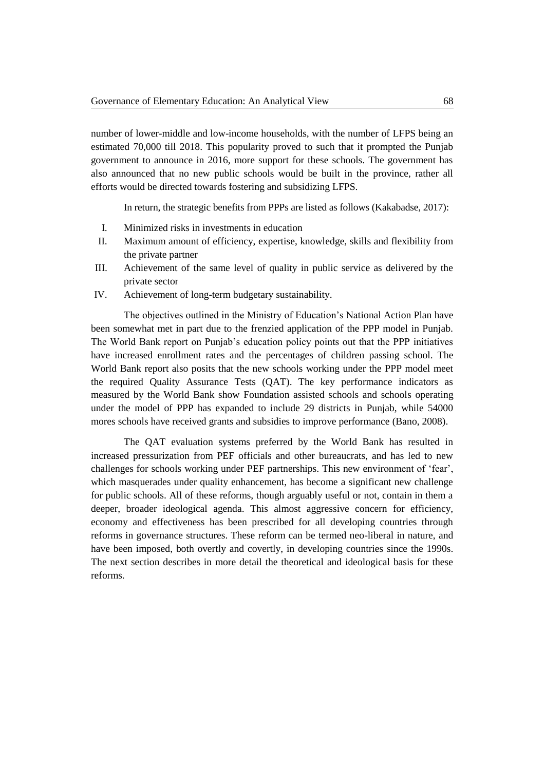number of lower-middle and low-income households, with the number of LFPS being an estimated 70,000 till 2018. This popularity proved to such that it prompted the Punjab government to announce in 2016, more support for these schools. The government has also announced that no new public schools would be built in the province, rather all efforts would be directed towards fostering and subsidizing LFPS.

In return, the strategic benefits from PPPs are listed as follows [\(Kakabadse, 2017\)](#page-15-7):

- I. Minimized risks in investments in education
- II. Maximum amount of efficiency, expertise, knowledge, skills and flexibility from the private partner
- III. Achievement of the same level of quality in public service as delivered by the private sector
- IV. Achievement of long-term budgetary sustainability.

The objectives outlined in the Ministry of Education"s National Action Plan have been somewhat met in part due to the frenzied application of the PPP model in Punjab. The World Bank report on Punjab"s education policy points out that the PPP initiatives have increased enrollment rates and the percentages of children passing school. The World Bank report also posits that the new schools working under the PPP model meet the required Quality Assurance Tests (QAT). The key performance indicators as measured by the World Bank show Foundation assisted schools and schools operating under the model of PPP has expanded to include 29 districts in Punjab, while 54000 mores schools have received grants and subsidies to improve performance [\(Bano, 2008\)](#page-14-6).

The QAT evaluation systems preferred by the World Bank has resulted in increased pressurization from PEF officials and other bureaucrats, and has led to new challenges for schools working under PEF partnerships. This new environment of "fear", which masquerades under quality enhancement, has become a significant new challenge for public schools. All of these reforms, though arguably useful or not, contain in them a deeper, broader ideological agenda. This almost aggressive concern for efficiency, economy and effectiveness has been prescribed for all developing countries through reforms in governance structures. These reform can be termed neo-liberal in nature, and have been imposed, both overtly and covertly, in developing countries since the 1990s. The next section describes in more detail the theoretical and ideological basis for these reforms.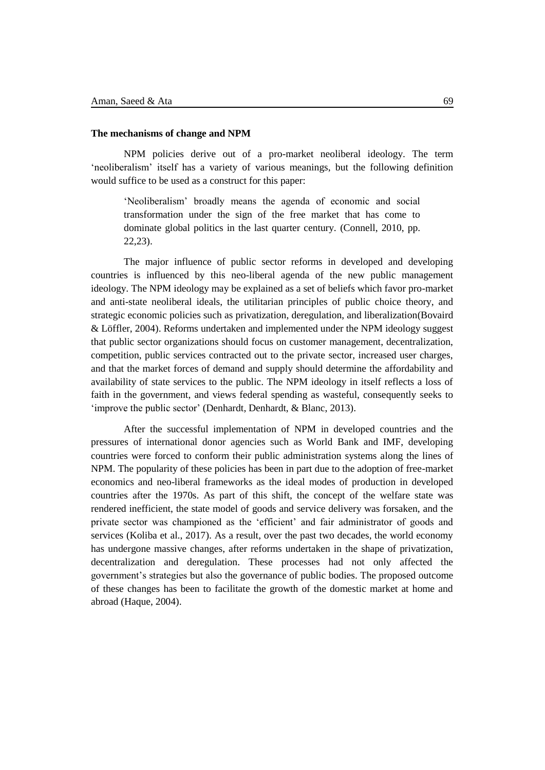#### **The mechanisms of change and NPM**

NPM policies derive out of a pro-market neoliberal ideology. The term "neoliberalism" itself has a variety of various meanings, but the following definition would suffice to be used as a construct for this paper:

"Neoliberalism" broadly means the agenda of economic and social transformation under the sign of the free market that has come to dominate global politics in the last quarter century. (Connell, 2010, pp. 22,23).

The major influence of public sector reforms in developed and developing countries is influenced by this neo-liberal agenda of the new public management ideology. The NPM ideology may be explained as a set of beliefs which favor pro-market and anti-state neoliberal ideals, the utilitarian principles of public choice theory, and strategic economic policies such as privatization, deregulation, and liberalization[\(Bovaird](#page-14-7)  [& Löffler, 2004\)](#page-14-7). Reforms undertaken and implemented under the NPM ideology suggest that public sector organizations should focus on customer management, decentralization, competition, public services contracted out to the private sector, increased user charges, and that the market forces of demand and supply should determine the affordability and availability of state services to the public. The NPM ideology in itself reflects a loss of faith in the government, and views federal spending as wasteful, consequently seeks to 'improve the public sector' [\(Denhardt, Denhardt, & Blanc, 2013\)](#page-14-8).

After the successful implementation of NPM in developed countries and the pressures of international donor agencies such as World Bank and IMF, developing countries were forced to conform their public administration systems along the lines of NPM. The popularity of these policies has been in part due to the adoption of free-market economics and neo-liberal frameworks as the ideal modes of production in developed countries after the 1970s. As part of this shift, the concept of the welfare state was rendered inefficient, the state model of goods and service delivery was forsaken, and the private sector was championed as the "efficient" and fair administrator of goods and services [\(Koliba et al., 2017\)](#page-15-9). As a result, over the past two decades, the world economy has undergone massive changes, after reforms undertaken in the shape of privatization, decentralization and deregulation. These processes had not only affected the government"s strategies but also the governance of public bodies. The proposed outcome of these changes has been to facilitate the growth of the domestic market at home and abroad [\(Haque, 2004\)](#page-14-9).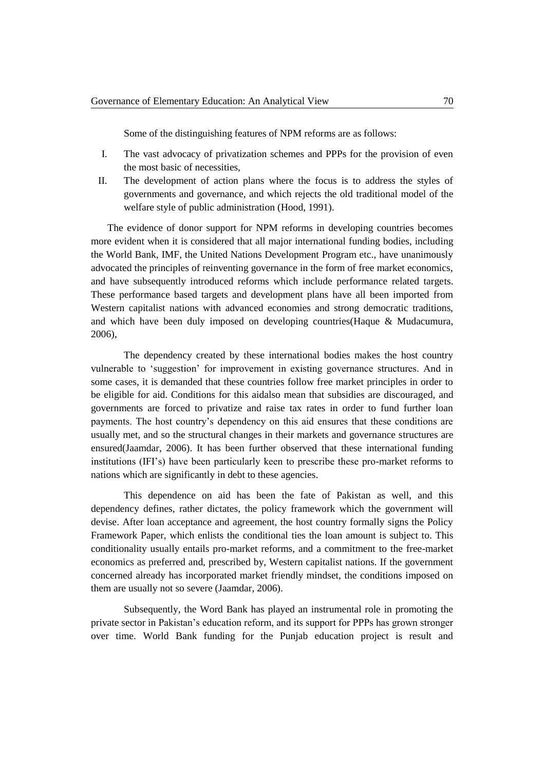Some of the distinguishing features of NPM reforms are as follows:

- I. The vast advocacy of privatization schemes and PPPs for the provision of even the most basic of necessities,
- II. The development of action plans where the focus is to address the styles of governments and governance, and which rejects the old traditional model of the welfare style of public administration [\(Hood, 1991\)](#page-14-10).

The evidence of donor support for NPM reforms in developing countries becomes more evident when it is considered that all major international funding bodies, including the World Bank, IMF, the United Nations Development Program etc., have unanimously advocated the principles of reinventing governance in the form of free market economics, and have subsequently introduced reforms which include performance related targets. These performance based targets and development plans have all been imported from Western capitalist nations with advanced economies and strong democratic traditions, and which have been duly imposed on developing countries[\(Haque & Mudacumura,](#page-14-11)  [2006\)](#page-14-11),

The dependency created by these international bodies makes the host country vulnerable to "suggestion" for improvement in existing governance structures. And in some cases, it is demanded that these countries follow free market principles in order to be eligible for aid. Conditions for this aidalso mean that subsidies are discouraged, and governments are forced to privatize and raise tax rates in order to fund further loan payments. The host country"s dependency on this aid ensures that these conditions are usually met, and so the structural changes in their markets and governance structures are ensured[\(Jaamdar, 2006\)](#page-15-10). It has been further observed that these international funding institutions (IFI"s) have been particularly keen to prescribe these pro-market reforms to nations which are significantly in debt to these agencies.

This dependence on aid has been the fate of Pakistan as well, and this dependency defines, rather dictates, the policy framework which the government will devise. After loan acceptance and agreement, the host country formally signs the Policy Framework Paper, which enlists the conditional ties the loan amount is subject to. This conditionality usually entails pro-market reforms, and a commitment to the free-market economics as preferred and, prescribed by, Western capitalist nations. If the government concerned already has incorporated market friendly mindset, the conditions imposed on them are usually not so severe [\(Jaamdar, 2006\)](#page-15-10).

Subsequently, the Word Bank has played an instrumental role in promoting the private sector in Pakistan"s education reform, and its support for PPPs has grown stronger over time. World Bank funding for the Punjab education project is result and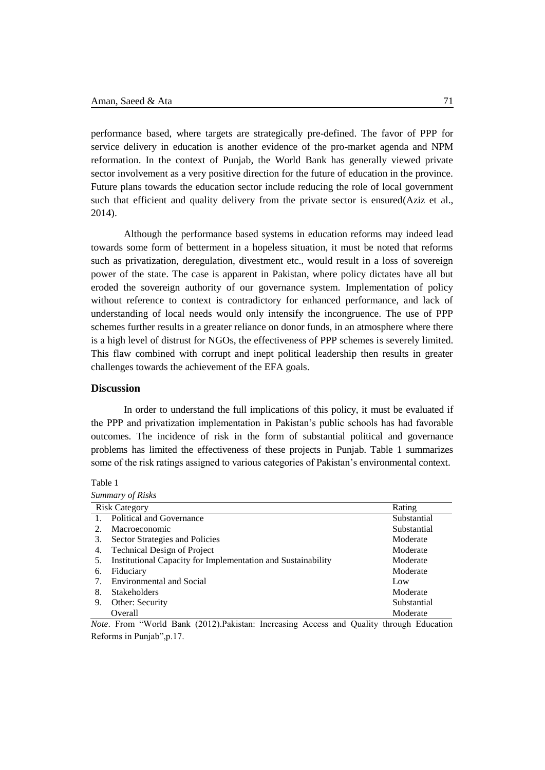performance based, where targets are strategically pre-defined. The favor of PPP for service delivery in education is another evidence of the pro-market agenda and NPM reformation. In the context of Punjab, the World Bank has generally viewed private sector involvement as a very positive direction for the future of education in the province. Future plans towards the education sector include reducing the role of local government such that efficient and quality delivery from the private sector is ensured[\(Aziz et al.,](#page-14-12)  [2014\)](#page-14-12).

Although the performance based systems in education reforms may indeed lead towards some form of betterment in a hopeless situation, it must be noted that reforms such as privatization, deregulation, divestment etc., would result in a loss of sovereign power of the state. The case is apparent in Pakistan, where policy dictates have all but eroded the sovereign authority of our governance system. Implementation of policy without reference to context is contradictory for enhanced performance, and lack of understanding of local needs would only intensify the incongruence. The use of PPP schemes further results in a greater reliance on donor funds, in an atmosphere where there is a high level of distrust for NGOs, the effectiveness of PPP schemes is severely limited. This flaw combined with corrupt and inept political leadership then results in greater challenges towards the achievement of the EFA goals.

## **Discussion**

In order to understand the full implications of this policy, it must be evaluated if the PPP and privatization implementation in Pakistan"s public schools has had favorable outcomes. The incidence of risk in the form of substantial political and governance problems has limited the effectiveness of these projects in Punjab. Table 1 summarizes some of the risk ratings assigned to various categories of Pakistan"s environmental context.

Table 1

| Summary of Risks     |                                                              |             |
|----------------------|--------------------------------------------------------------|-------------|
| <b>Risk Category</b> |                                                              | Rating      |
|                      | Political and Governance                                     | Substantial |
| 2.                   | Macroeconomic                                                | Substantial |
| 3.                   | Sector Strategies and Policies                               | Moderate    |
| 4.                   | <b>Technical Design of Project</b>                           | Moderate    |
| 5.                   | Institutional Capacity for Implementation and Sustainability | Moderate    |
| 6.                   | Fiduciary                                                    | Moderate    |
| 7.                   | <b>Environmental and Social</b>                              | Low         |
| 8.                   | <b>Stakeholders</b>                                          | Moderate    |
| 9.                   | Other: Security                                              | Substantial |
|                      | Overall                                                      | Moderate    |

*Note*. From "World Bank (2012).Pakistan: Increasing Access and Quality through Education Reforms in Punjab",p.17.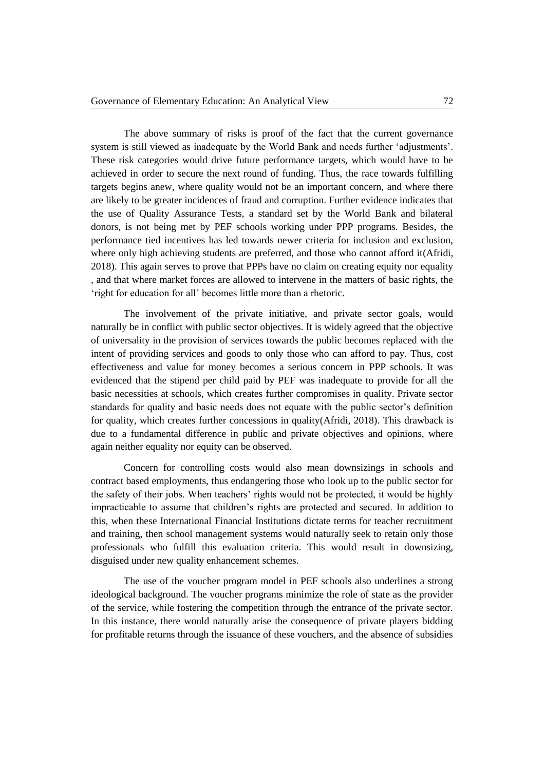The above summary of risks is proof of the fact that the current governance system is still viewed as inadequate by the World Bank and needs further "adjustments". These risk categories would drive future performance targets, which would have to be achieved in order to secure the next round of funding. Thus, the race towards fulfilling targets begins anew, where quality would not be an important concern, and where there are likely to be greater incidences of fraud and corruption. Further evidence indicates that the use of Quality Assurance Tests, a standard set by the World Bank and bilateral donors, is not being met by PEF schools working under PPP programs. Besides, the performance tied incentives has led towards newer criteria for inclusion and exclusion, where only high achieving students are preferred, and those who cannot afford it[\(Afridi,](#page-14-4)  [2018\)](#page-14-4). This again serves to prove that PPPs have no claim on creating equity nor equality , and that where market forces are allowed to intervene in the matters of basic rights, the 'right for education for all' becomes little more than a rhetoric.

The involvement of the private initiative, and private sector goals, would naturally be in conflict with public sector objectives. It is widely agreed that the objective of universality in the provision of services towards the public becomes replaced with the intent of providing services and goods to only those who can afford to pay. Thus, cost effectiveness and value for money becomes a serious concern in PPP schools. It was evidenced that the stipend per child paid by PEF was inadequate to provide for all the basic necessities at schools, which creates further compromises in quality. Private sector standards for quality and basic needs does not equate with the public sector's definition for quality, which creates further concessions in quality[\(Afridi, 2018\)](#page-14-4). This drawback is due to a fundamental difference in public and private objectives and opinions, where again neither equality nor equity can be observed.

Concern for controlling costs would also mean downsizings in schools and contract based employments, thus endangering those who look up to the public sector for the safety of their jobs. When teachers" rights would not be protected, it would be highly impracticable to assume that children"s rights are protected and secured. In addition to this, when these International Financial Institutions dictate terms for teacher recruitment and training, then school management systems would naturally seek to retain only those professionals who fulfill this evaluation criteria. This would result in downsizing, disguised under new quality enhancement schemes.

The use of the voucher program model in PEF schools also underlines a strong ideological background. The voucher programs minimize the role of state as the provider of the service, while fostering the competition through the entrance of the private sector. In this instance, there would naturally arise the consequence of private players bidding for profitable returns through the issuance of these vouchers, and the absence of subsidies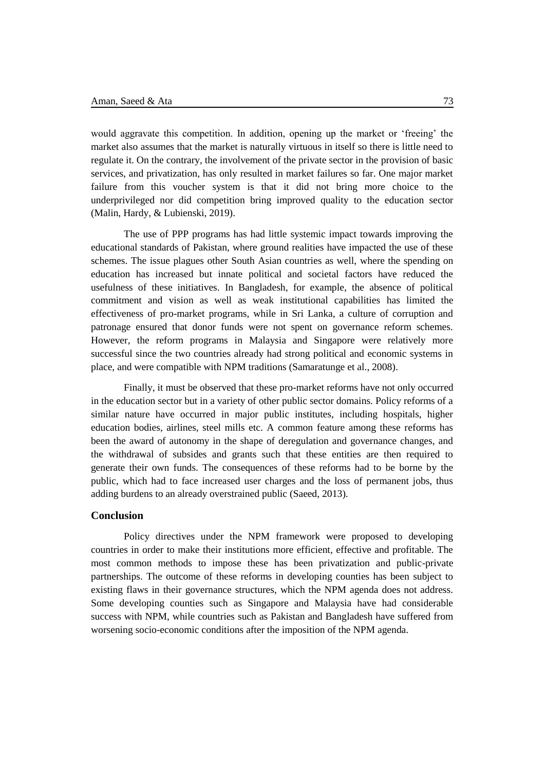would aggravate this competition. In addition, opening up the market or "freeing" the market also assumes that the market is naturally virtuous in itself so there is little need to regulate it. On the contrary, the involvement of the private sector in the provision of basic services, and privatization, has only resulted in market failures so far. One major market failure from this voucher system is that it did not bring more choice to the underprivileged nor did competition bring improved quality to the education sector [\(Malin, Hardy, & Lubienski, 2019\)](#page-15-11).

The use of PPP programs has had little systemic impact towards improving the educational standards of Pakistan, where ground realities have impacted the use of these schemes. The issue plagues other South Asian countries as well, where the spending on education has increased but innate political and societal factors have reduced the usefulness of these initiatives. In Bangladesh, for example, the absence of political commitment and vision as well as weak institutional capabilities has limited the effectiveness of pro-market programs, while in Sri Lanka, a culture of corruption and patronage ensured that donor funds were not spent on governance reform schemes. However, the reform programs in Malaysia and Singapore were relatively more successful since the two countries already had strong political and economic systems in place, and were compatible with NPM traditions [\(Samaratunge et al., 2008\)](#page-15-12).

Finally, it must be observed that these pro-market reforms have not only occurred in the education sector but in a variety of other public sector domains. Policy reforms of a similar nature have occurred in major public institutes, including hospitals, higher education bodies, airlines, steel mills etc. A common feature among these reforms has been the award of autonomy in the shape of deregulation and governance changes, and the withdrawal of subsides and grants such that these entities are then required to generate their own funds. The consequences of these reforms had to be borne by the public, which had to face increased user charges and the loss of permanent jobs, thus adding burdens to an already overstrained public [\(Saeed, 2013\)](#page-15-13).

### **Conclusion**

Policy directives under the NPM framework were proposed to developing countries in order to make their institutions more efficient, effective and profitable. The most common methods to impose these has been privatization and public-private partnerships. The outcome of these reforms in developing counties has been subject to existing flaws in their governance structures, which the NPM agenda does not address. Some developing counties such as Singapore and Malaysia have had considerable success with NPM, while countries such as Pakistan and Bangladesh have suffered from worsening socio-economic conditions after the imposition of the NPM agenda.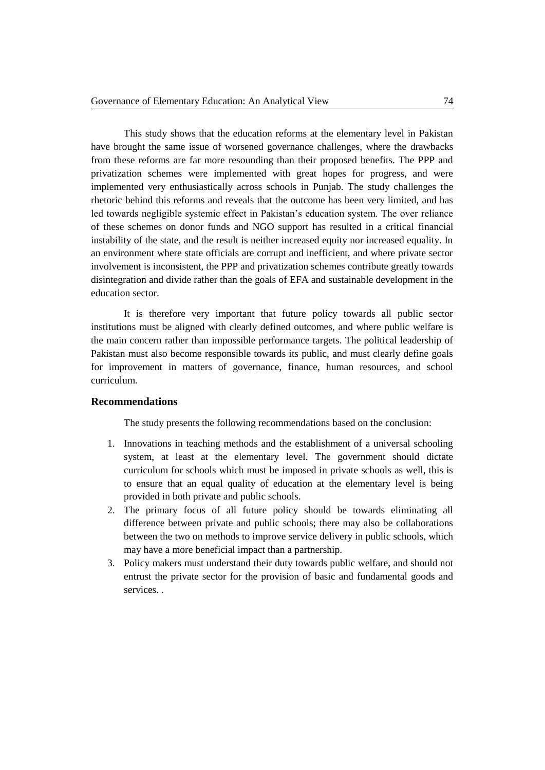This study shows that the education reforms at the elementary level in Pakistan have brought the same issue of worsened governance challenges, where the drawbacks from these reforms are far more resounding than their proposed benefits. The PPP and privatization schemes were implemented with great hopes for progress, and were implemented very enthusiastically across schools in Punjab. The study challenges the rhetoric behind this reforms and reveals that the outcome has been very limited, and has led towards negligible systemic effect in Pakistan"s education system. The over reliance of these schemes on donor funds and NGO support has resulted in a critical financial instability of the state, and the result is neither increased equity nor increased equality. In an environment where state officials are corrupt and inefficient, and where private sector involvement is inconsistent, the PPP and privatization schemes contribute greatly towards disintegration and divide rather than the goals of EFA and sustainable development in the education sector.

It is therefore very important that future policy towards all public sector institutions must be aligned with clearly defined outcomes, and where public welfare is the main concern rather than impossible performance targets. The political leadership of Pakistan must also become responsible towards its public, and must clearly define goals for improvement in matters of governance, finance, human resources, and school curriculum.

### **Recommendations**

The study presents the following recommendations based on the conclusion:

- 1. Innovations in teaching methods and the establishment of a universal schooling system, at least at the elementary level. The government should dictate curriculum for schools which must be imposed in private schools as well, this is to ensure that an equal quality of education at the elementary level is being provided in both private and public schools.
- 2. The primary focus of all future policy should be towards eliminating all difference between private and public schools; there may also be collaborations between the two on methods to improve service delivery in public schools, which may have a more beneficial impact than a partnership.
- 3. Policy makers must understand their duty towards public welfare, and should not entrust the private sector for the provision of basic and fundamental goods and services. .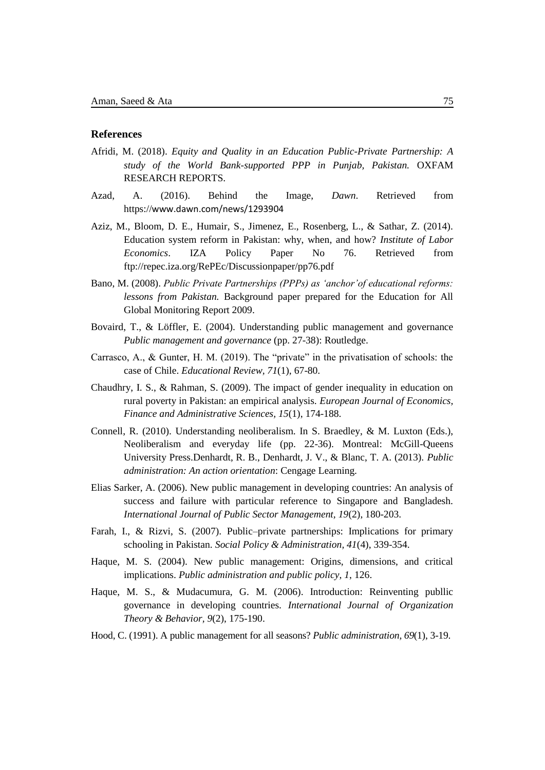## **References**

- <span id="page-14-4"></span>Afridi, M. (2018). *Equity and Quality in an Education Public-Private Partnership: A study of the World Bank-supported PPP in Punjab, Pakistan.* OXFAM RESEARCH REPORTS.
- <span id="page-14-2"></span>Azad, A. (2016). Behind the Image, *Dawn*. Retrieved from https://[www.dawn.com/news/1293904](http://www.dawn.com/news/1293904)
- <span id="page-14-12"></span>Aziz, M., Bloom, D. E., Humair, S., Jimenez, E., Rosenberg, L., & Sathar, Z. (2014). Education system reform in Pakistan: why, when, and how? *Institute of Labor Economics*. IZA Policy Paper No 76. Retrieved from ftp://repec.iza.org/RePEc/Discussionpaper/pp76.pdf
- <span id="page-14-6"></span>Bano, M. (2008). *Public Private Partnerships (PPPs) as 'anchor'of educational reforms: lessons from Pakistan.* Background paper prepared for the Education for All Global Monitoring Report 2009.
- <span id="page-14-7"></span>Bovaird, T., & Löffler, E. (2004). Understanding public management and governance *Public management and governance* (pp. 27-38): Routledge.
- <span id="page-14-1"></span>Carrasco, A., & Gunter, H. M. (2019). The "private" in the privatisation of schools: the case of Chile. *Educational Review, 71*(1), 67-80.
- <span id="page-14-5"></span>Chaudhry, I. S., & Rahman, S. (2009). The impact of gender inequality in education on rural poverty in Pakistan: an empirical analysis. *European Journal of Economics, Finance and Administrative Sciences, 15*(1), 174-188.
- <span id="page-14-8"></span>Connell, R. (2010). Understanding neoliberalism. In S. Braedley, & M. Luxton (Eds.), Neoliberalism and everyday life (pp. 22-36). Montreal: McGill-Queens University Press.Denhardt, R. B., Denhardt, J. V., & Blanc, T. A. (2013). *Public administration: An action orientation*: Cengage Learning.
- <span id="page-14-0"></span>Elias Sarker, A. (2006). New public management in developing countries: An analysis of success and failure with particular reference to Singapore and Bangladesh. *International Journal of Public Sector Management, 19*(2), 180-203.
- <span id="page-14-3"></span>Farah, I., & Rizvi, S. (2007). Public–private partnerships: Implications for primary schooling in Pakistan. *Social Policy & Administration, 41*(4), 339-354.
- <span id="page-14-9"></span>Haque, M. S. (2004). New public management: Origins, dimensions, and critical implications. *Public administration and public policy, 1*, 126.
- <span id="page-14-11"></span>Haque, M. S., & Mudacumura, G. M. (2006). Introduction: Reinventing publlic governance in developing countries. *International Journal of Organization Theory & Behavior, 9*(2), 175-190.
- <span id="page-14-10"></span>Hood, C. (1991). A public management for all seasons? *Public administration, 69*(1), 3-19.